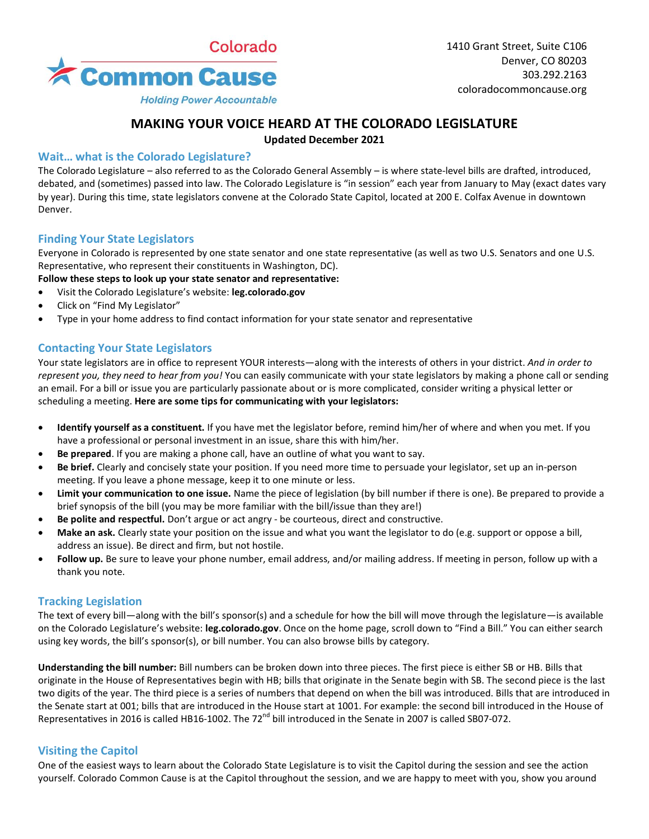

**Holding Power Accountable** 

# **MAKING YOUR VOICE HEARD AT THE COLORADO LEGISLATURE**

**Updated December 2021**

### **Wait… what is the Colorado Legislature?**

The Colorado Legislature – also referred to as the Colorado General Assembly – is where state-level bills are drafted, introduced, debated, and (sometimes) passed into law. The Colorado Legislature is "in session" each year from January to May (exact dates vary by year). During this time, state legislators convene at the Colorado State Capitol, located at 200 E. Colfax Avenue in downtown Denver.

### **Finding Your State Legislators**

Everyone in Colorado is represented by one state senator and one state representative (as well as two U.S. Senators and one U.S. Representative, who represent their constituents in Washington, DC).

#### **Follow these steps to look up your state senator and representative:**

- Visit the Colorado Legislature's website: **leg.colorado.gov**
- Click on "Find My Legislator"
- Type in your home address to find contact information for your state senator and representative

### **Contacting Your State Legislators**

Your state legislators are in office to represent YOUR interests—along with the interests of others in your district. *And in order to represent you, they need to hear from you!* You can easily communicate with your state legislators by making a phone call or sending an email. For a bill or issue you are particularly passionate about or is more complicated, consider writing a physical letter or scheduling a meeting. **Here are some tips for communicating with your legislators:**

- **Identify yourself as a constituent.** If you have met the legislator before, remind him/her of where and when you met. If you have a professional or personal investment in an issue, share this with him/her.
- **Be prepared**. If you are making a phone call, have an outline of what you want to say.
- **Be brief.** Clearly and concisely state your position. If you need more time to persuade your legislator, set up an in-person meeting. If you leave a phone message, keep it to one minute or less.
- **Limit your communication to one issue.** Name the piece of legislation (by bill number if there is one). Be prepared to provide a brief synopsis of the bill (you may be more familiar with the bill/issue than they are!)
- **Be polite and respectful.** Don't argue or act angry be courteous, direct and constructive.
- **Make an ask.** Clearly state your position on the issue and what you want the legislator to do (e.g. support or oppose a bill, address an issue). Be direct and firm, but not hostile.
- **Follow up.** Be sure to leave your phone number, email address, and/or mailing address. If meeting in person, follow up with a thank you note.

### **Tracking Legislation**

The text of every bill—along with the bill's sponsor(s) and a schedule for how the bill will move through the legislature—is available on the Colorado Legislature's website: **leg.colorado.gov**. Once on the home page, scroll down to "Find a Bill." You can either search using key words, the bill's sponsor(s), or bill number. You can also browse bills by category.

**Understanding the bill number:** Bill numbers can be broken down into three pieces. The first piece is either SB or HB. Bills that originate in the House of Representatives begin with HB; bills that originate in the Senate begin with SB. The second piece is the last two digits of the year. The third piece is a series of numbers that depend on when the bill was introduced. Bills that are introduced in the Senate start at 001; bills that are introduced in the House start at 1001. For example: the second bill introduced in the House of Representatives in 2016 is called HB16-1002. The 72<sup>nd</sup> bill introduced in the Senate in 2007 is called SB07-072.

### **Visiting the Capitol**

One of the easiest ways to learn about the Colorado State Legislature is to visit the Capitol during the session and see the action yourself. Colorado Common Cause is at the Capitol throughout the session, and we are happy to meet with you, show you around